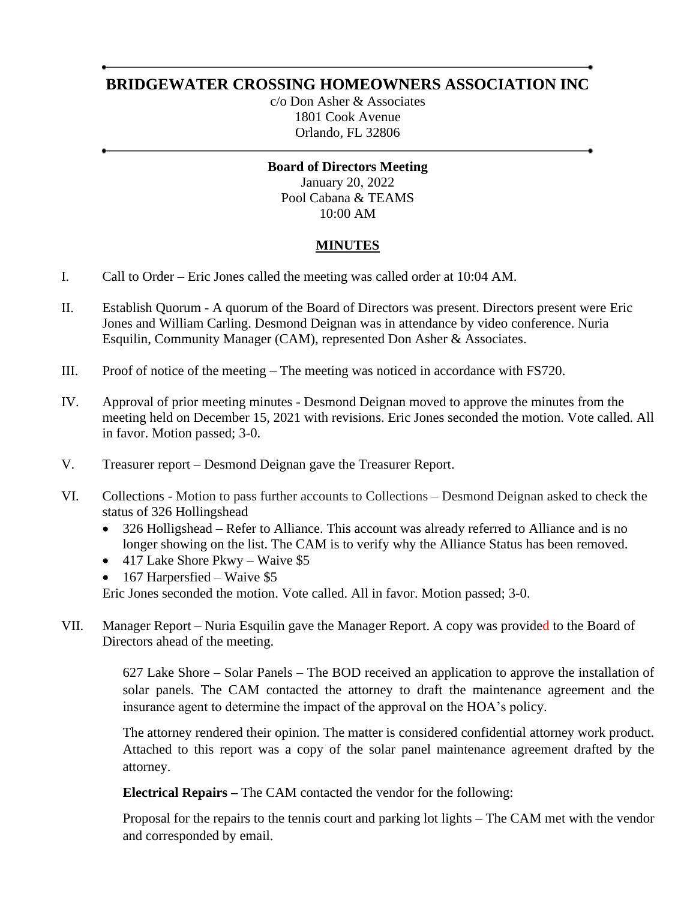# **BRIDGEWATER CROSSING HOMEOWNERS ASSOCIATION INC**

c/o Don Asher & Associates 1801 Cook Avenue Orlando, FL 32806

**Board of Directors Meeting** January 20, 2022 Pool Cabana & TEAMS 10:00 AM

### **MINUTES**

- I. Call to Order Eric Jones called the meeting was called order at 10:04 AM.
- II. Establish Quorum A quorum of the Board of Directors was present. Directors present were Eric Jones and William Carling. Desmond Deignan was in attendance by video conference. Nuria Esquilin, Community Manager (CAM), represented Don Asher & Associates.
- III. Proof of notice of the meeting The meeting was noticed in accordance with FS720.
- IV. Approval of prior meeting minutes Desmond Deignan moved to approve the minutes from the meeting held on December 15, 2021 with revisions. Eric Jones seconded the motion. Vote called. All in favor. Motion passed; 3-0.
- V. Treasurer report Desmond Deignan gave the Treasurer Report.
- VI. Collections Motion to pass further accounts to Collections Desmond Deignan asked to check the status of 326 Hollingshead
	- 326 Holligshead Refer to Alliance. This account was already referred to Alliance and is no longer showing on the list. The CAM is to verify why the Alliance Status has been removed.
	- 417 Lake Shore Pkwy Waive \$5
	- 167 Harpersfied Waive \$5

Eric Jones seconded the motion. Vote called. All in favor. Motion passed; 3-0.

VII. Manager Report – Nuria Esquilin gave the Manager Report. A copy was provided to the Board of Directors ahead of the meeting.

> 627 Lake Shore – Solar Panels – The BOD received an application to approve the installation of solar panels. The CAM contacted the attorney to draft the maintenance agreement and the insurance agent to determine the impact of the approval on the HOA's policy.

> The attorney rendered their opinion. The matter is considered confidential attorney work product. Attached to this report was a copy of the solar panel maintenance agreement drafted by the attorney.

**Electrical Repairs –** The CAM contacted the vendor for the following:

Proposal for the repairs to the tennis court and parking lot lights – The CAM met with the vendor and corresponded by email.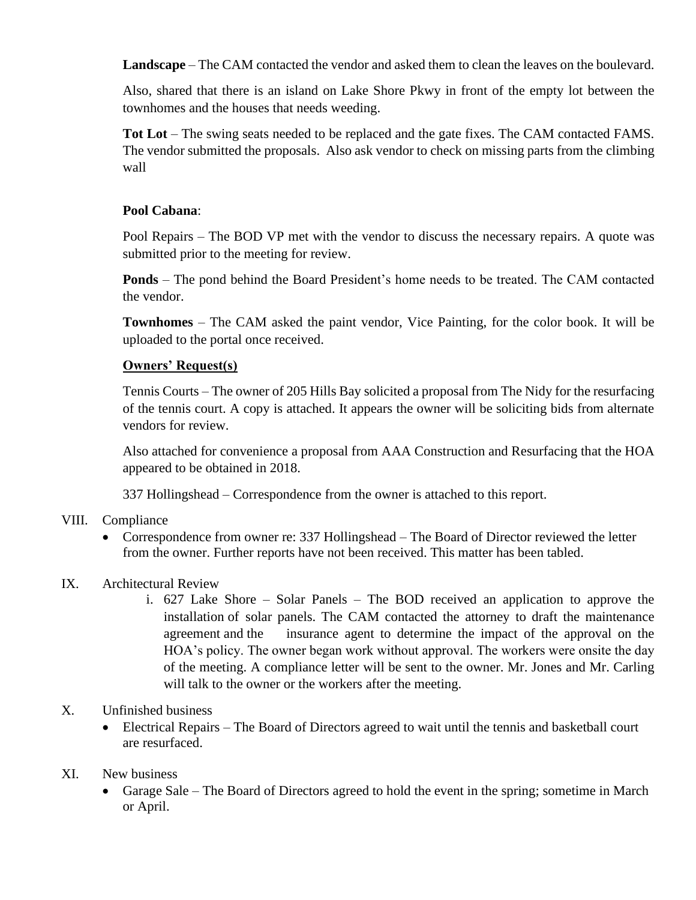**Landscape** – The CAM contacted the vendor and asked them to clean the leaves on the boulevard.

Also, shared that there is an island on Lake Shore Pkwy in front of the empty lot between the townhomes and the houses that needs weeding.

**Tot Lot** – The swing seats needed to be replaced and the gate fixes. The CAM contacted FAMS. The vendor submitted the proposals. Also ask vendor to check on missing parts from the climbing wall

#### **Pool Cabana**:

Pool Repairs – The BOD VP met with the vendor to discuss the necessary repairs. A quote was submitted prior to the meeting for review.

**Ponds** – The pond behind the Board President's home needs to be treated. The CAM contacted the vendor.

**Townhomes** – The CAM asked the paint vendor, Vice Painting, for the color book. It will be uploaded to the portal once received.

### **Owners' Request(s)**

Tennis Courts – The owner of 205 Hills Bay solicited a proposal from The Nidy for the resurfacing of the tennis court. A copy is attached. It appears the owner will be soliciting bids from alternate vendors for review.

Also attached for convenience a proposal from AAA Construction and Resurfacing that the HOA appeared to be obtained in 2018.

337 Hollingshead – Correspondence from the owner is attached to this report.

- VIII. Compliance
	- Correspondence from owner re: 337 Hollingshead The Board of Director reviewed the letter from the owner. Further reports have not been received. This matter has been tabled.
- IX. Architectural Review
	- i. 627 Lake Shore Solar Panels The BOD received an application to approve the installation of solar panels. The CAM contacted the attorney to draft the maintenance agreement and the insurance agent to determine the impact of the approval on the HOA's policy. The owner began work without approval. The workers were onsite the day of the meeting. A compliance letter will be sent to the owner. Mr. Jones and Mr. Carling will talk to the owner or the workers after the meeting.

### X. Unfinished business

• Electrical Repairs – The Board of Directors agreed to wait until the tennis and basketball court are resurfaced.

#### XI. New business

• Garage Sale – The Board of Directors agreed to hold the event in the spring; sometime in March or April.